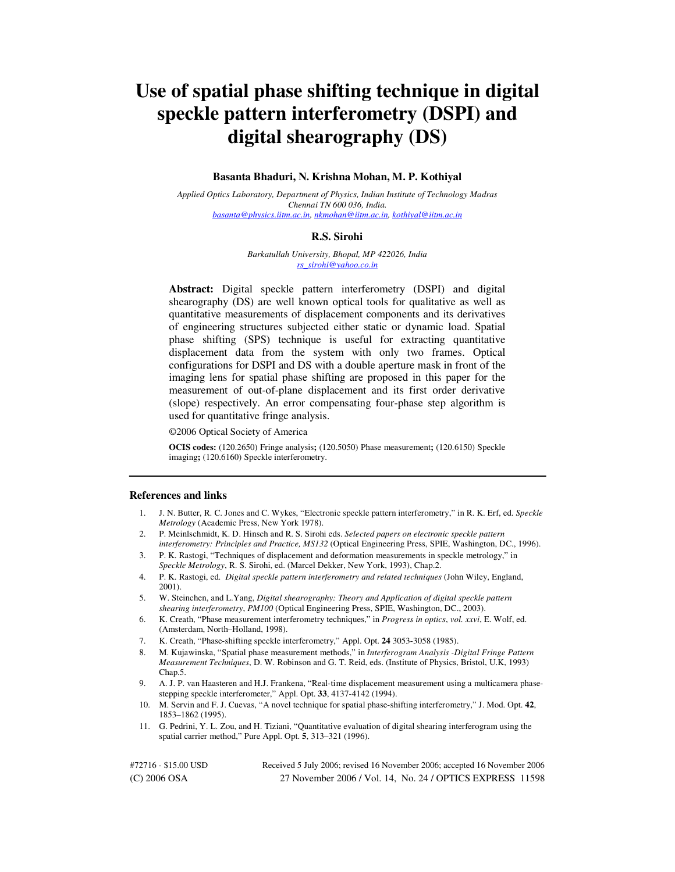# **Use of spatial phase shifting technique in digital speckle pattern interferometry (DSPI) and digital shearography (DS)**

### **Basanta Bhaduri, N. Krishna Mohan, M. P. Kothiyal**

*Applied Optics Laboratory, Department of Physics, Indian Institute of Technology Madras Chennai TN 600 036, India.* *basanta@physics.iitm.ac.in, nkmohan@iitm.ac.in, kothiyal@iitm.ac.in*

#### **R.S. Sirohi**

*Barkatullah University, Bhopal, MP 422026, India rs\_sirohi@yahoo.co.in* 

**Abstract:** Digital speckle pattern interferometry (DSPI) and digital shearography (DS) are well known optical tools for qualitative as well as quantitative measurements of displacement components and its derivatives of engineering structures subjected either static or dynamic load. Spatial phase shifting (SPS) technique is useful for extracting quantitative displacement data from the system with only two frames. Optical configurations for DSPI and DS with a double aperture mask in front of the imaging lens for spatial phase shifting are proposed in this paper for the measurement of out-of-plane displacement and its first order derivative (slope) respectively. An error compensating four-phase step algorithm is used for quantitative fringe analysis.

©2006 Optical Society of America

**OCIS codes:** (120.2650) Fringe analysis**;** (120.5050) Phase measurement**;** (120.6150) Speckle imaging**;** (120.6160) Speckle interferometry.

#### **References and links**

- 1. J. N. Butter, R. C. Jones and C. Wykes, "Electronic speckle pattern interferometry," in R. K. Erf, ed. *Speckle Metrology* (Academic Press, New York 1978).
- 2. P. Meinlschmidt, K. D. Hinsch and R. S. Sirohi eds. *Selected papers on electronic speckle pattern interferometry: Principles and Practice, MS132* (Optical Engineering Press, SPIE, Washington, DC., 1996).
- 3. P. K. Rastogi, "Techniques of displacement and deformation measurements in speckle metrology," in *Speckle Metrology*, R. S. Sirohi, ed. (Marcel Dekker, New York, 1993), Chap.2.
- 4. P. K. Rastogi, ed. *Digital speckle pattern interferometry and related techniques* (John Wiley, England, 2001).
- 5. W. Steinchen, and L.Yang, *Digital shearography: Theory and Application of digital speckle pattern shearing interferometry*, *PM100* (Optical Engineering Press, SPIE, Washington, DC., 2003).
- 6. K. Creath, "Phase measurement interferometry techniques," in *Progress in optics*, *vol. xxvi*, E. Wolf, ed. (Amsterdam, North–Holland, 1998).
- 7. K. Creath, "Phase-shifting speckle interferometry," Appl. Opt. **24** 3053-3058 (1985).
- 8. M. Kujawinska, "Spatial phase measurement methods," in *Interferogram Analysis -Digital Fringe Pattern Measurement Techniques*, D. W. Robinson and G. T. Reid, eds. (Institute of Physics, Bristol, U.K, 1993) Chap.5.
- 9. A. J. P. van Haasteren and H.J. Frankena, "Real-time displacement measurement using a multicamera phasestepping speckle interferometer," Appl. Opt. **33**, 4137-4142 (1994).
- 10. M. Servin and F. J. Cuevas, "A novel technique for spatial phase-shifting interferometry," J. Mod. Opt. **42**, 1853–1862 (1995).
- 11. G. Pedrini, Y. L. Zou, and H. Tiziani, "Quantitative evaluation of digital shearing interferogram using the spatial carrier method," Pure Appl. Opt. **5**, 313–321 (1996).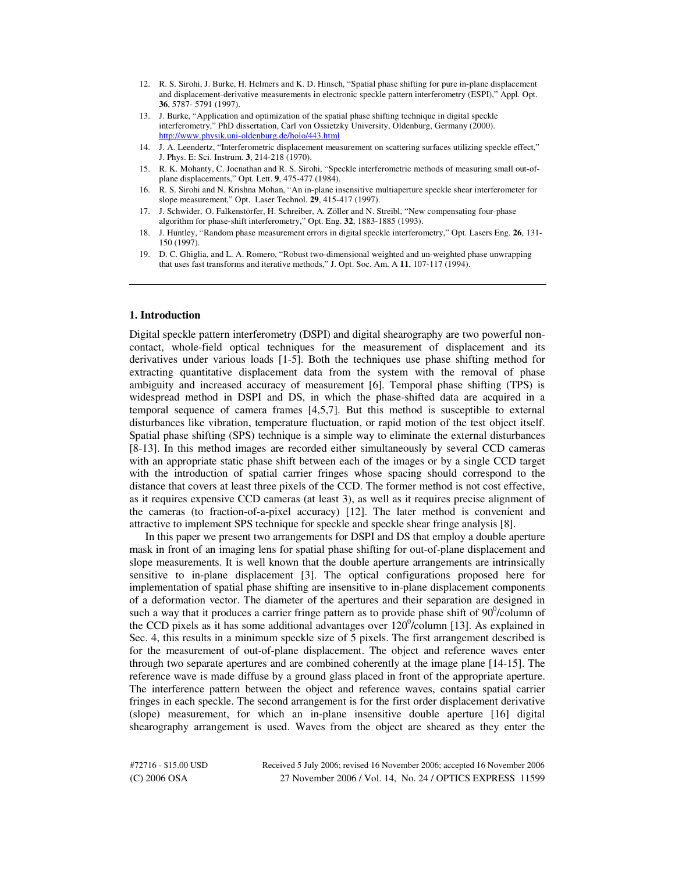- 12. R. S. Sirohi, J. Burke, H. Helmers and K. D. Hinsch, "Spatial phase shifting for pure in-plane displacement and displacement-derivative measurements in electronic speckle pattern interferometry (ESPI)," Appl. Opt. **36**, 5787- 5791 (1997).
- 13. J. Burke, "Application and optimization of the spatial phase shifting technique in digital speckle interferometry," PhD dissertation, Carl von Ossietzky University, Oldenburg, Germany (2000). http://www.physik.uni-oldenburg.de/holo/443.html
- 14. J. A. Leendertz, "Interferometric displacement measurement on scattering surfaces utilizing speckle effect," J. Phys. E: Sci. Instrum. **3**, 214-218 (1970).
- 15. R. K. Mohanty, C. Joenathan and R. S. Sirohi, "Speckle interferometric methods of measuring small out-ofplane displacements," Opt. Lett. **9**, 475-477 (1984).
- 16. R. S. Sirohi and N. Krishna Mohan, "An in-plane insensitive multiaperture speckle shear interferometer for slope measurement," Opt. Laser Technol. **29**, 415-417 (1997).
- 17. J. Schwider, O. Falkenstörfer, H. Schreiber, A. Zöller and N. Streibl, "New compensating four-phase algorithm for phase-shift interferometry," Opt. Eng. **32**, 1883-1885 (1993).
- 18. J. Huntley, "Random phase measurement errors in digital speckle interferometry," Opt. Lasers Eng. **26**, 131- 150 (1997).
- 19. D. C. Ghiglia, and L. A. Romero, "Robust two-dimensional weighted and un-weighted phase unwrapping that uses fast transforms and iterative methods," J. Opt. Soc. Am. A **11**, 107-117 (1994).

# **1. Introduction**

Digital speckle pattern interferometry (DSPI) and digital shearography are two powerful noncontact, whole-field optical techniques for the measurement of displacement and its derivatives under various loads [1-5]. Both the techniques use phase shifting method for extracting quantitative displacement data from the system with the removal of phase ambiguity and increased accuracy of measurement [6]. Temporal phase shifting (TPS) is widespread method in DSPI and DS, in which the phase-shifted data are acquired in a temporal sequence of camera frames [4,5,7]. But this method is susceptible to external disturbances like vibration, temperature fluctuation, or rapid motion of the test object itself. Spatial phase shifting (SPS) technique is a simple way to eliminate the external disturbances [8-13]. In this method images are recorded either simultaneously by several CCD cameras with an appropriate static phase shift between each of the images or by a single CCD target with the introduction of spatial carrier fringes whose spacing should correspond to the distance that covers at least three pixels of the CCD. The former method is not cost effective, as it requires expensive CCD cameras (at least 3), as well as it requires precise alignment of the cameras (to fraction-of-a-pixel accuracy) [12]. The later method is convenient and attractive to implement SPS technique for speckle and speckle shear fringe analysis [8].

In this paper we present two arrangements for DSPI and DS that employ a double aperture mask in front of an imaging lens for spatial phase shifting for out-of-plane displacement and slope measurements. It is well known that the double aperture arrangements are intrinsically sensitive to in-plane displacement [3]. The optical configurations proposed here for implementation of spatial phase shifting are insensitive to in-plane displacement components of a deformation vector. The diameter of the apertures and their separation are designed in such a way that it produces a carrier fringe pattern as to provide phase shift of  $90^0$ /column of the CCD pixels as it has some additional advantages over  $120^0$ /column [13]. As explained in Sec. 4, this results in a minimum speckle size of 5 pixels. The first arrangement described is for the measurement of out-of-plane displacement. The object and reference waves enter through two separate apertures and are combined coherently at the image plane [14-15]. The reference wave is made diffuse by a ground glass placed in front of the appropriate aperture. The interference pattern between the object and reference waves, contains spatial carrier fringes in each speckle. The second arrangement is for the first order displacement derivative (slope) measurement, for which an in-plane insensitive double aperture [16] digital shearography arrangement is used. Waves from the object are sheared as they enter the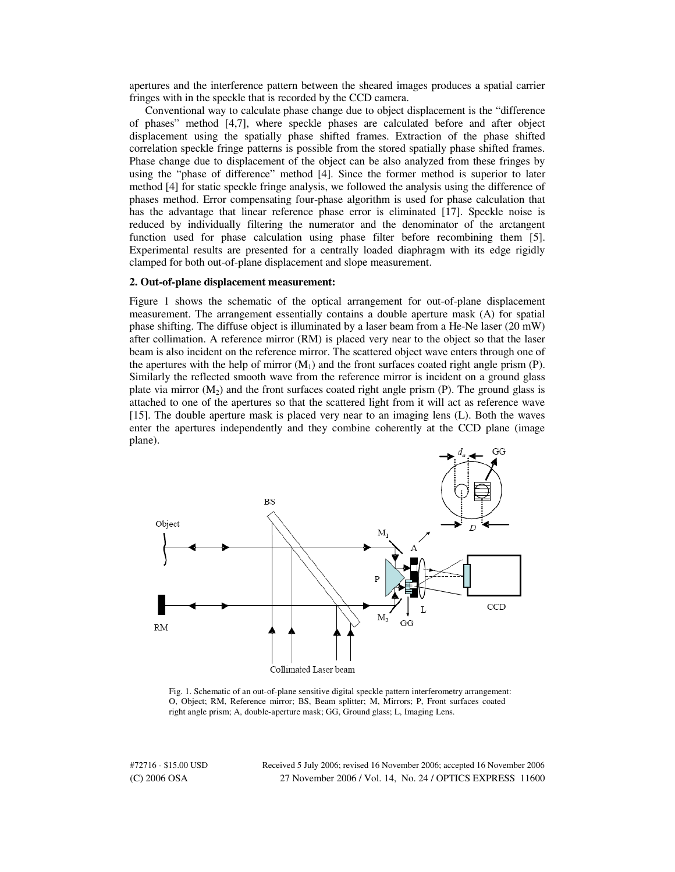apertures and the interference pattern between the sheared images produces a spatial carrier fringes with in the speckle that is recorded by the CCD camera.

Conventional way to calculate phase change due to object displacement is the "difference of phases" method [4,7], where speckle phases are calculated before and after object displacement using the spatially phase shifted frames. Extraction of the phase shifted correlation speckle fringe patterns is possible from the stored spatially phase shifted frames. Phase change due to displacement of the object can be also analyzed from these fringes by using the "phase of difference" method [4]. Since the former method is superior to later method [4] for static speckle fringe analysis, we followed the analysis using the difference of phases method. Error compensating four-phase algorithm is used for phase calculation that has the advantage that linear reference phase error is eliminated [17]. Speckle noise is reduced by individually filtering the numerator and the denominator of the arctangent function used for phase calculation using phase filter before recombining them [5]. Experimental results are presented for a centrally loaded diaphragm with its edge rigidly clamped for both out-of-plane displacement and slope measurement.

#### **2. Out-of-plane displacement measurement:**

Figure 1 shows the schematic of the optical arrangement for out-of-plane displacement measurement. The arrangement essentially contains a double aperture mask (A) for spatial phase shifting. The diffuse object is illuminated by a laser beam from a He-Ne laser (20 mW) after collimation. A reference mirror (RM) is placed very near to the object so that the laser beam is also incident on the reference mirror. The scattered object wave enters through one of the apertures with the help of mirror  $(M<sub>1</sub>)$  and the front surfaces coated right angle prism (P). Similarly the reflected smooth wave from the reference mirror is incident on a ground glass plate via mirror  $(M<sub>2</sub>)$  and the front surfaces coated right angle prism (P). The ground glass is attached to one of the apertures so that the scattered light from it will act as reference wave [15]. The double aperture mask is placed very near to an imaging lens (L). Both the waves enter the apertures independently and they combine coherently at the CCD plane (image plane).



Fig. 1. Schematic of an out-of-plane sensitive digital speckle pattern interferometry arrangement: O, Object; RM, Reference mirror; BS, Beam splitter; M, Mirrors; P, Front surfaces coated right angle prism; A, double-aperture mask; GG, Ground glass; L, Imaging Lens.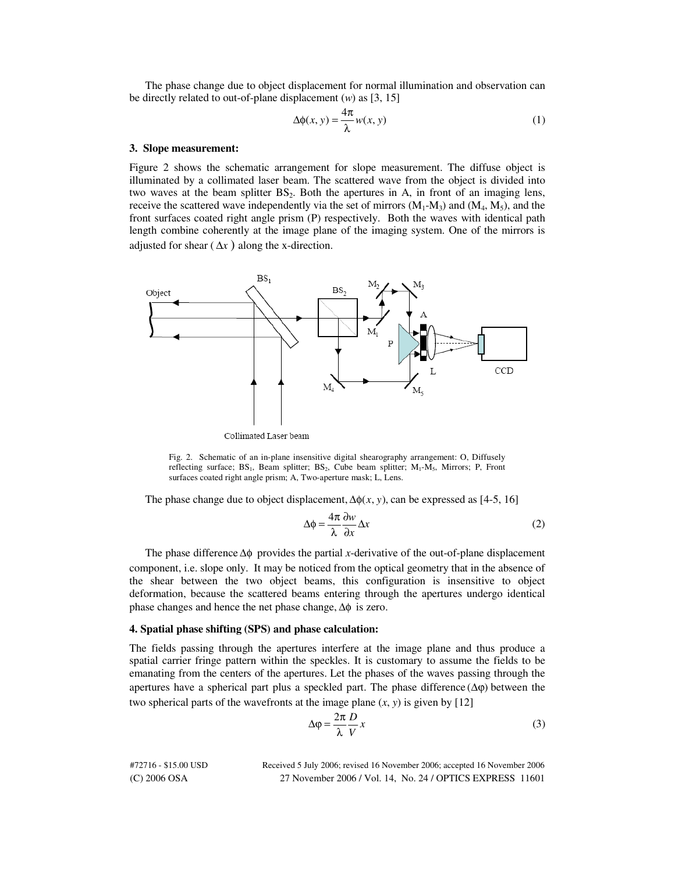The phase change due to object displacement for normal illumination and observation can be directly related to out-of-plane displacement (*w*) as [3, 15]

$$
\Delta \phi(x, y) = \frac{4\pi}{\lambda} w(x, y)
$$
 (1)

#### **3. Slope measurement:**

Figure 2 shows the schematic arrangement for slope measurement. The diffuse object is illuminated by a collimated laser beam. The scattered wave from the object is divided into two waves at the beam splitter  $BS_2$ . Both the apertures in A, in front of an imaging lens, receive the scattered wave independently via the set of mirrors  $(M_1-M_3)$  and  $(M_4, M_5)$ , and the front surfaces coated right angle prism (P) respectively. Both the waves with identical path length combine coherently at the image plane of the imaging system. One of the mirrors is adjusted for shear  $(\Delta x)$  along the x-direction.



Collimated Laser beam

Fig. 2. Schematic of an in-plane insensitive digital shearography arrangement: O, Diffusely reflecting surface; BS<sub>1</sub>, Beam splitter; BS<sub>2</sub>, Cube beam splitter;  $M_1-M_5$ , Mirrors; P, Front surfaces coated right angle prism; A, Two-aperture mask; L, Lens.

The phase change due to object displacement,  $\Delta\phi(x, y)$ , can be expressed as [4-5, 16]

$$
\Delta \phi = \frac{4\pi}{\lambda} \frac{\partial w}{\partial x} \Delta x \tag{2}
$$

The phase difference Δφ provides the partial *x*-derivative of the out-of-plane displacement component, i.e. slope only. It may be noticed from the optical geometry that in the absence of the shear between the two object beams, this configuration is insensitive to object deformation, because the scattered beams entering through the apertures undergo identical phase changes and hence the net phase change,  $\Delta\phi$  is zero.

## **4. Spatial phase shifting (SPS) and phase calculation:**

The fields passing through the apertures interfere at the image plane and thus produce a spatial carrier fringe pattern within the speckles. It is customary to assume the fields to be emanating from the centers of the apertures. Let the phases of the waves passing through the apertures have a spherical part plus a speckled part. The phase difference  $(\Delta \varphi)$  between the two spherical parts of the wavefronts at the image plane  $(x, y)$  is given by [12]

$$
\Delta \varphi = \frac{2\pi}{\lambda} \frac{D}{V} x \tag{3}
$$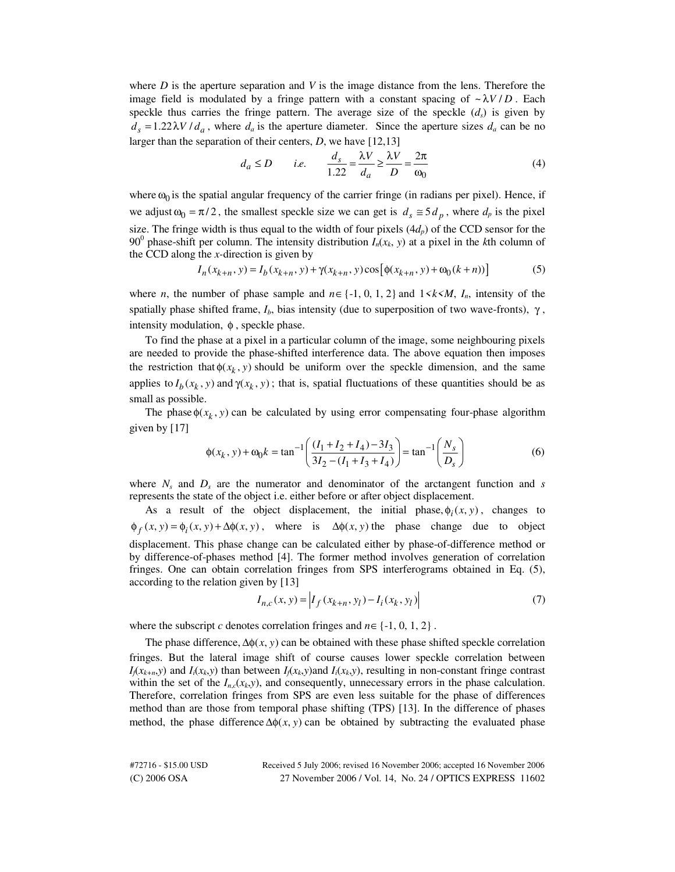where *D* is the aperture separation and *V* is the image distance from the lens. Therefore the image field is modulated by a fringe pattern with a constant spacing of  $\sim \lambda V/D$ . Each speckle thus carries the fringe pattern. The average size of the speckle  $(d_s)$  is given by  $d_s = 1.22 \lambda V / d_a$ , where  $d_a$  is the aperture diameter. Since the aperture sizes  $d_a$  can be no larger than the separation of their centers, *D*, we have [12,13]

$$
d_a \le D \qquad i.e. \qquad \frac{d_s}{1.22} = \frac{\lambda V}{d_a} \ge \frac{\lambda V}{D} = \frac{2\pi}{\omega_0} \tag{4}
$$

where  $\omega_0$  is the spatial angular frequency of the carrier fringe (in radians per pixel). Hence, if we adjust  $\omega_0 = \pi/2$ , the smallest speckle size we can get is  $d_s \approx 5 d_p$ , where  $d_p$  is the pixel size. The fringe width is thus equal to the width of four pixels  $(4d<sub>p</sub>)$  of the CCD sensor for the 90<sup>0</sup> phase-shift per column. The intensity distribution  $I_n(x_k, y)$  at a pixel in the *k*th column of the CCD along the *x-*direction is given by

$$
I_n(x_{k+n}, y) = I_b(x_{k+n}, y) + \gamma(x_{k+n}, y) \cos[\phi(x_{k+n}, y) + \omega_0(k+n))]
$$
(5)

where *n*, the number of phase sample and  $n \in \{-1, 0, 1, 2\}$  and  $1 \le k \le M$ , *I<sub>n</sub>*, intensity of the spatially phase shifted frame,  $I_b$ , bias intensity (due to superposition of two wave-fronts),  $\gamma$ , intensity modulation,  $φ$ , speckle phase.

To find the phase at a pixel in a particular column of the image, some neighbouring pixels are needed to provide the phase-shifted interference data. The above equation then imposes the restriction that  $\phi(x_k, y)$  should be uniform over the speckle dimension, and the same applies to  $I_b(x_k, y)$  and  $\gamma(x_k, y)$ ; that is, spatial fluctuations of these quantities should be as small as possible.

The phase  $\phi(x_k, y)$  can be calculated by using error compensating four-phase algorithm given by [17]

$$
\phi(x_k, y) + \omega_0 k = \tan^{-1} \left( \frac{(I_1 + I_2 + I_4) - 3I_3}{3I_2 - (I_1 + I_3 + I_4)} \right) = \tan^{-1} \left( \frac{N_s}{D_s} \right)
$$
(6)

where  $N_s$  and  $D_s$  are the numerator and denominator of the arctangent function and  $s$ represents the state of the object i.e. either before or after object displacement.

As a result of the object displacement, the initial phase,  $\phi_i(x, y)$ , changes to  $\phi_f(x, y) = \phi_i(x, y) + \Delta \phi(x, y)$ , where is  $\Delta \phi(x, y)$  the phase change due to object displacement. This phase change can be calculated either by phase-of-difference method or by difference-of-phases method [4]. The former method involves generation of correlation fringes. One can obtain correlation fringes from SPS interferograms obtained in Eq. (5), according to the relation given by [13]

$$
I_{n,c}(x, y) = \left| I_f(x_{k+n}, y_l) - I_i(x_k, y_l) \right| \tag{7}
$$

where the subscript *c* denotes correlation fringes and  $n \in \{-1, 0, 1, 2\}$ .

The phase difference,  $\Delta \phi(x, y)$  can be obtained with these phase shifted speckle correlation fringes. But the lateral image shift of course causes lower speckle correlation between  $I_j(x_{k+n},y)$  and  $I_i(x_k,y)$  than between  $I_j(x_k,y)$  and  $I_i(x_k,y)$ , resulting in non-constant fringe contrast within the set of the  $I_{n,c}(x_k, y)$ , and consequently, unnecessary errors in the phase calculation. Therefore, correlation fringes from SPS are even less suitable for the phase of differences method than are those from temporal phase shifting (TPS) [13]. In the difference of phases method, the phase difference  $\Delta\phi(x, y)$  can be obtained by subtracting the evaluated phase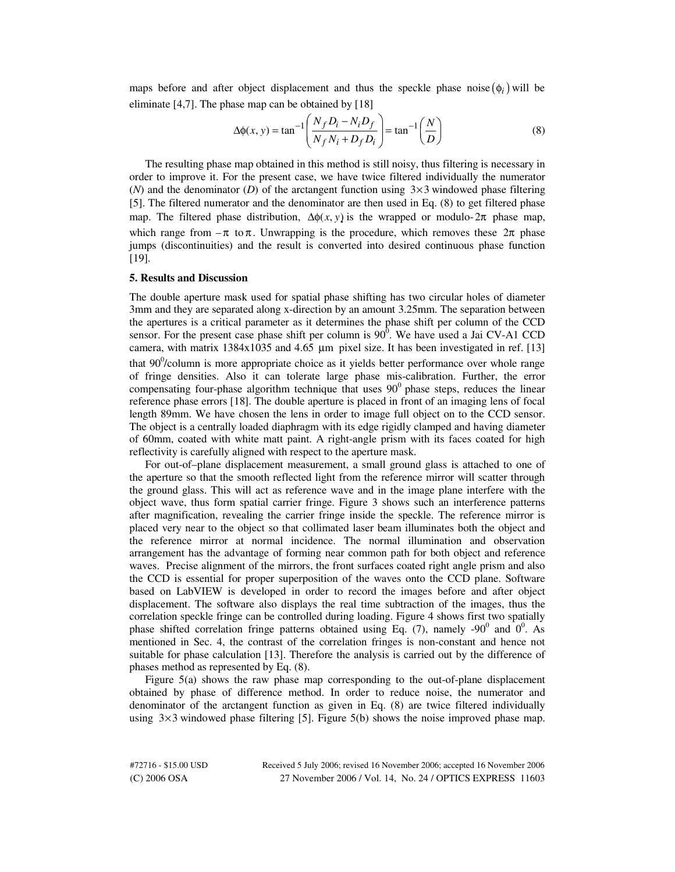maps before and after object displacement and thus the speckle phase noise  $(\phi_i)$  will be eliminate  $[4,7]$ . The phase map can be obtained by  $[18]$ 

$$
\Delta \phi(x, y) = \tan^{-1} \left( \frac{N_f D_i - N_i D_f}{N_f N_i + D_f D_i} \right) = \tan^{-1} \left( \frac{N}{D} \right)
$$
 (8)

The resulting phase map obtained in this method is still noisy, thus filtering is necessary in order to improve it. For the present case, we have twice filtered individually the numerator  $(N)$  and the denominator  $(D)$  of the arctangent function using  $3\times 3$  windowed phase filtering [5]. The filtered numerator and the denominator are then used in Eq. (8) to get filtered phase map. The filtered phase distribution,  $\Delta \phi(x, y)$  is the wrapped or modulo-  $2\pi$  phase map, which range from  $-\pi$  to  $\pi$ . Unwrapping is the procedure, which removes these  $2\pi$  phase jumps (discontinuities) and the result is converted into desired continuous phase function [19].

## **5. Results and Discussion**

The double aperture mask used for spatial phase shifting has two circular holes of diameter 3mm and they are separated along x-direction by an amount 3.25mm. The separation between the apertures is a critical parameter as it determines the phase shift per column of the CCD sensor. For the present case phase shift per column is  $90^{\overline{0}}$ . We have used a Jai CV-A1 CCD camera, with matrix  $1384x1035$  and  $4.65 \mu m$  pixel size. It has been investigated in ref. [13] that  $90^0$ /column is more appropriate choice as it yields better performance over whole range of fringe densities. Also it can tolerate large phase mis-calibration. Further, the error compensating four-phase algorithm technique that uses  $90^{\circ}$  phase steps, reduces the linear reference phase errors [18]. The double aperture is placed in front of an imaging lens of focal length 89mm. We have chosen the lens in order to image full object on to the CCD sensor. The object is a centrally loaded diaphragm with its edge rigidly clamped and having diameter of 60mm, coated with white matt paint. A right-angle prism with its faces coated for high reflectivity is carefully aligned with respect to the aperture mask.

For out-of–plane displacement measurement, a small ground glass is attached to one of the aperture so that the smooth reflected light from the reference mirror will scatter through the ground glass. This will act as reference wave and in the image plane interfere with the object wave, thus form spatial carrier fringe. Figure 3 shows such an interference patterns after magnification, revealing the carrier fringe inside the speckle. The reference mirror is placed very near to the object so that collimated laser beam illuminates both the object and the reference mirror at normal incidence. The normal illumination and observation arrangement has the advantage of forming near common path for both object and reference waves. Precise alignment of the mirrors, the front surfaces coated right angle prism and also the CCD is essential for proper superposition of the waves onto the CCD plane. Software based on LabVIEW is developed in order to record the images before and after object displacement. The software also displays the real time subtraction of the images, thus the correlation speckle fringe can be controlled during loading. Figure 4 shows first two spatially phase shifted correlation fringe patterns obtained using Eq. (7), namely -90 $^{\circ}$  and  $0^{\circ}$ . As mentioned in Sec. 4, the contrast of the correlation fringes is non-constant and hence not suitable for phase calculation [13]. Therefore the analysis is carried out by the difference of phases method as represented by Eq. (8).

Figure 5(a) shows the raw phase map corresponding to the out-of-plane displacement obtained by phase of difference method. In order to reduce noise, the numerator and denominator of the arctangent function as given in Eq. (8) are twice filtered individually using  $3 \times 3$  windowed phase filtering [5]. Figure 5(b) shows the noise improved phase map.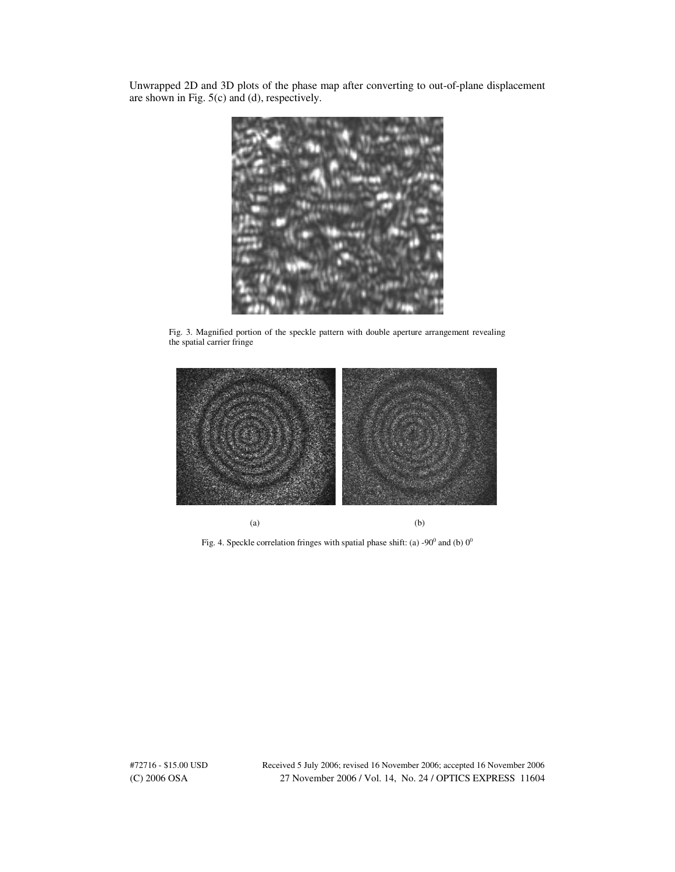Unwrapped 2D and 3D plots of the phase map after converting to out-of-plane displacement are shown in Fig. 5(c) and (d), respectively.



Fig. 3. Magnified portion of the speckle pattern with double aperture arrangement revealing the spatial carrier fringe



Fig. 4. Speckle correlation fringes with spatial phase shift: (a) -90 $^{\circ}$  and (b)  $0^{\circ}$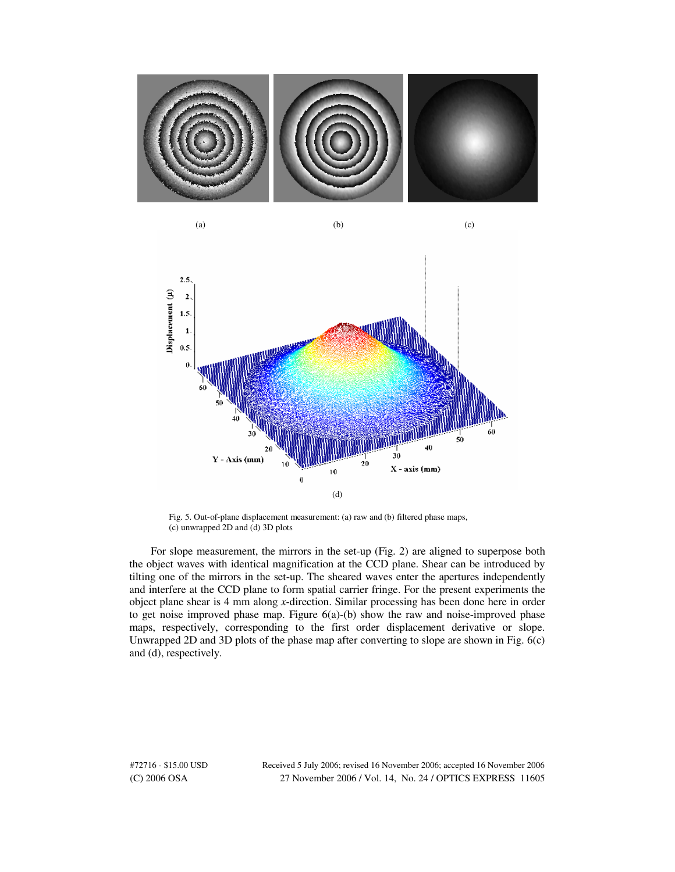



Fig. 5. Out-of-plane displacement measurement: (a) raw and (b) filtered phase maps, (c) unwrapped 2D and (d) 3D plots

For slope measurement, the mirrors in the set-up (Fig. 2) are aligned to superpose both the object waves with identical magnification at the CCD plane. Shear can be introduced by tilting one of the mirrors in the set-up. The sheared waves enter the apertures independently and interfere at the CCD plane to form spatial carrier fringe. For the present experiments the object plane shear is 4 mm along *x*-direction. Similar processing has been done here in order to get noise improved phase map. Figure 6(a)-(b) show the raw and noise-improved phase maps, respectively, corresponding to the first order displacement derivative or slope. Unwrapped 2D and 3D plots of the phase map after converting to slope are shown in Fig. 6(c) and (d), respectively.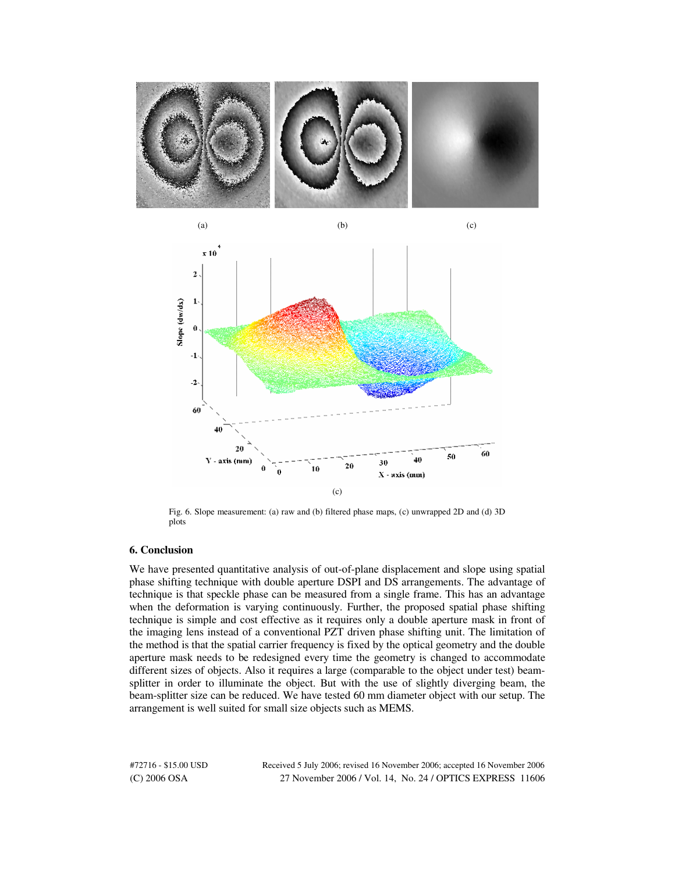



Fig. 6. Slope measurement: (a) raw and (b) filtered phase maps, (c) unwrapped 2D and (d) 3D plots

# **6. Conclusion**

We have presented quantitative analysis of out-of-plane displacement and slope using spatial phase shifting technique with double aperture DSPI and DS arrangements. The advantage of technique is that speckle phase can be measured from a single frame. This has an advantage when the deformation is varying continuously. Further, the proposed spatial phase shifting technique is simple and cost effective as it requires only a double aperture mask in front of the imaging lens instead of a conventional PZT driven phase shifting unit. The limitation of the method is that the spatial carrier frequency is fixed by the optical geometry and the double aperture mask needs to be redesigned every time the geometry is changed to accommodate different sizes of objects. Also it requires a large (comparable to the object under test) beamsplitter in order to illuminate the object. But with the use of slightly diverging beam, the beam-splitter size can be reduced. We have tested 60 mm diameter object with our setup. The arrangement is well suited for small size objects such as MEMS.